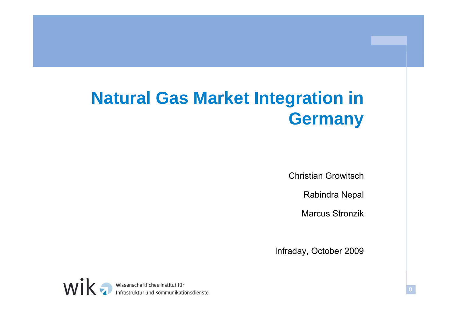# **Natural Gas Market Integration in**  Germany

Christian Growitsch

Rabindra Ne pal

Marcus Stronzik

Infraday, October 2009

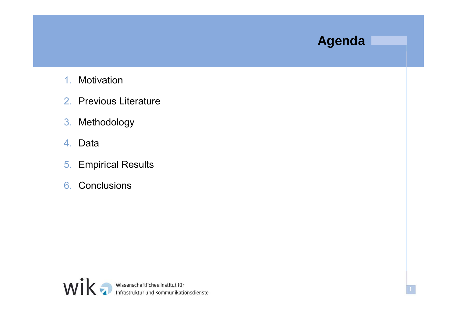#### **Agenda**

- 1.Motivation
- 2. Previous Literature
- 3. Methodology
- 4. Data
- 5. Empirical Results
- 6. Conclusions

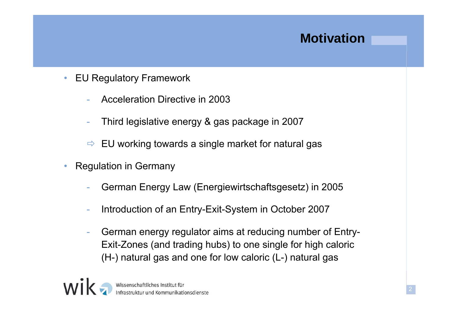### **Motivation**

- • EU Regulatory Framework
	- Acceleration Directive in 2003
	- Third legislative energy & gas package in 2007
	- $\Rightarrow$  EU working towards a single market for natural gas
- • Regulation in Germany
	- German Energy Law (Energiewirtschaftsgesetz) in 2005
	- -Introduction of an Entry-Exit-System in October 2007
	- German energy regulator aims at reducing number of Entry-Exit-Zones (and trading hubs) to one single for high caloric (H-) natural gas and one for low caloric (L-) natural gas

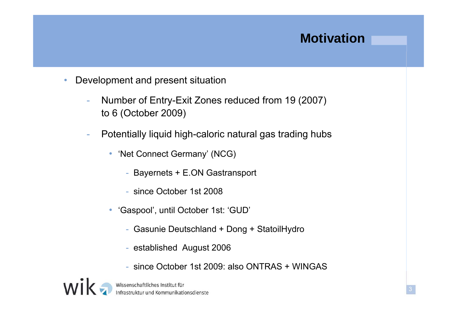### **Motivation**

- • Development and present situation
	- - Number of Entry-Exit Zones reduced from 19 (2007) to 6 (October 2009)
	- - Potentially liquid high-caloric natural gas trading hubs
		- 'Net Connect Germany' (NCG)
			- Bayernets + E.ON Gastransport
			- since October 1st 2008
		- • 'Gaspool', until October 1st: 'GUD'
			- Gasunie Deutschland + Dong + StatoilHydro
			- established August 2006
			- since October 1st 2009: also ONTRAS + WINGAS

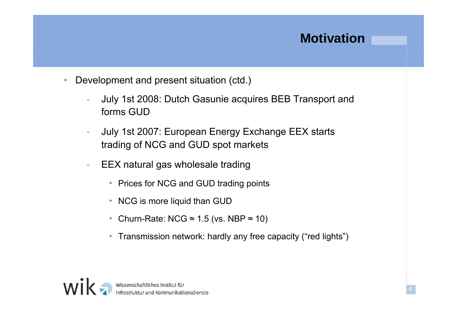### **Motivation**

- • Development and present situation (ctd.)
	- - July 1st 2008: Dutch Gasunie acquires BEB Transport and forms GUD
	- - July 1st 2007: European Energy Exchange EEX starts trading of NCG and GUD spot markets
	- -EEX natural gas wholesale trading
		- Prices for NCG and GUD trading points
		- NCG is more liquid than GUD
		- Churn-Rate: NCG ≈ 1.5 (vs. NBP ≈ 10)
		- Transmission network: hardly any free capacity ("red lights")

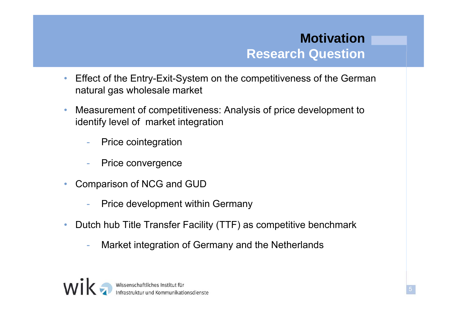#### **MotivationR h Q ti Research Question**

- • Effect of the Entry-Exit-System on the competitiveness of the German natural gas wholesale market
- • Measurement of competitiveness: Analysis of price development to identify level of market integration
	- -Price cointegration
	- Price convergence
- • Comparison of NCG and GUD
	- -Price development within Germany
- $\bullet$  Dutch hub Title Transfer Facility (TTF) as competitive benchmark
	- -Market integration of Germany and the Netherlands

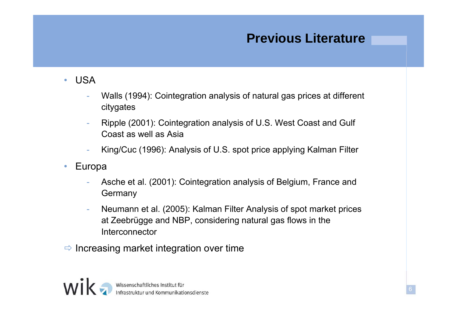### **Previous Literature**

- $\bullet$  USA
	- Walls (1994): Cointegration analysis of natural gas prices at different citygates
	- -Ripple (2001): Cointegration analysis of U.S. West Coast and Gulf Coast as well as Asia
	- -King/Cuc (1996): Analysis of U.S. spot price applying Kalman Filter
- $\bullet$  Europa
	- Asche et al. (2001): Cointegration analysis of Belgium, France and **Germany**
	- - Neumann et al. (2005): Kalman Filter Analysis of spot market prices at Zeebrügge and NBP, considering natural gas flows in the Interconnector
- $\Rightarrow$  Increasing market integration over time

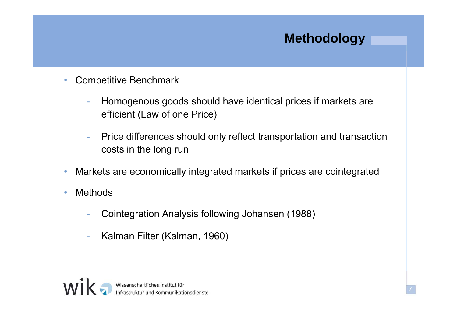### **Methodology**

7

- • Competitive Benchmark
	- - Homogenous goods should have identical prices if markets are efficient (Law of one Price)
	- - Price differences should only reflect transportation and transaction costs in the long run
- •Markets are economically integrated markets if prices are cointegrated
- • Methods
	- -Cointegration Analysis following Johansen (1988)
	- -Kalman Filter (Kalman, 1960)

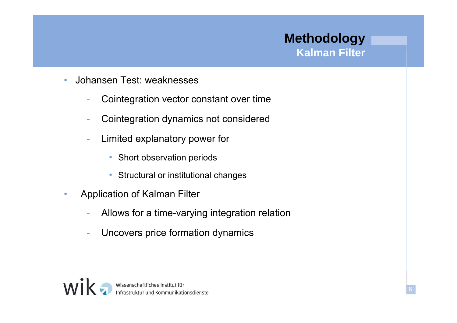#### **Methodology Kalman Filter**

- • Johansen Test: weaknesses
	- -Cointegration vector constant over time
	- -Cointegration dynamics not considered
	- - Limited explanatory power for
		- Short observation periods
		- Structural or institutional changes
- • Application of Kalman Filter
	- -Allows for a time-varying integration relation
	- -Uncovers price formation dynamics

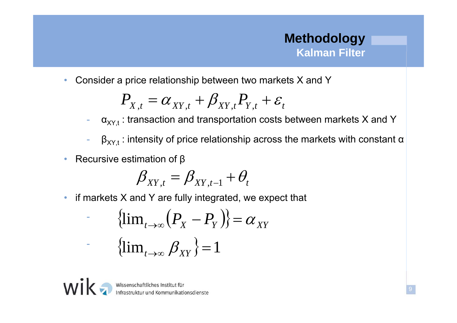#### **Methodology Kalman Filter**

 $\bullet$ Consider a price relationship between two markets X and Y

$$
P_{X,t} = \alpha_{XY,t} + \beta_{XY,t} P_{Y,t} + \varepsilon_t
$$

--  $\;\;{\alpha}_{{\mathsf{XY}},\rm{t}}$  : transaction and transportation costs between markets X and Y

- - $\beta_{XY,t}$ : intensity of price relationship across the markets with constant  $\alpha$
- •Recursive estimation of  $\beta$

$$
\beta_{XY,t} = \beta_{XY,t-1} + \theta_t
$$

• $\bullet$  if markets X and Y are fully integrated, we expect that

$$
\{\lim_{t\to\infty} (P_X - P_Y)\} = \alpha_{XY}
$$
  
\n
$$
\{\lim_{t\to\infty} \beta_{XY}\} = 1
$$



Wissenschaftliches Institut für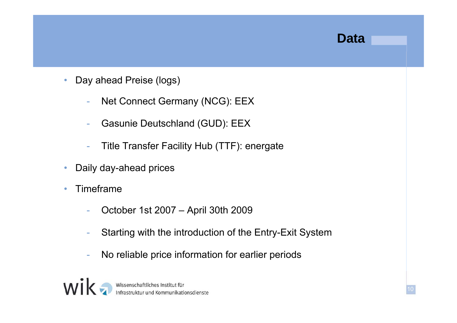#### **Data**

- • Day ahead Preise (logs)
	- -Net Connect Germany (NCG): EEX
	- -Gasunie Deutschland (GUD): EEX
	- -Title Transfer Facility Hub (TTF): energate
- •Daily day-ahead prices
- • Timeframe
	- -October 1st 2007 – April 30th 2009
	- Starting with the introduction of the Entry-Exit System
	- -No reliable price information for earlier periods

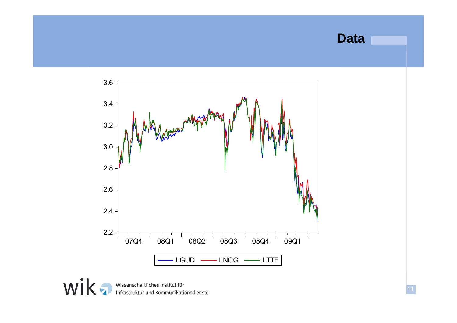#### **Data**

11



Wissenschaftliches Institut für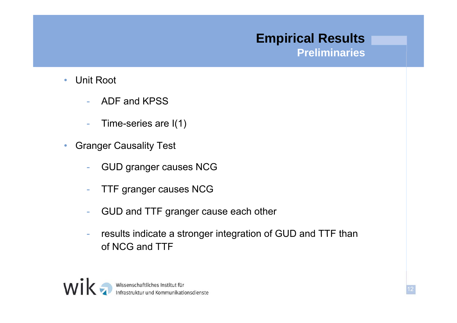## **Empirical Results**

**Preliminaries**

- • Unit Root
	- -ADF and KPSS
	- -Time-series are  $I(1)$
- • Granger Causality Test
	- -GUD granger causes NCG
	- TTF granger causes NCG
	- -GUD and TTF granger cause each other
	- results indicate a stronger integration of GUD and TTF than of NCG and TTF

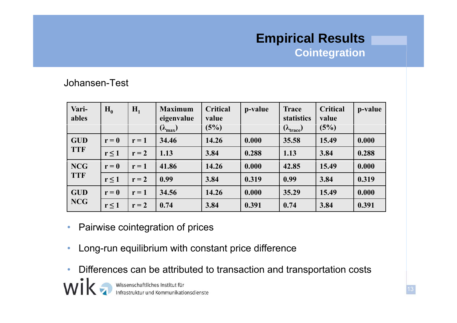### **Empirical Results Cointegration**

#### Johansen-Test

| Vari-<br>ables           | $H_0$      | $H_1$   | <b>Maximum</b><br>eigenvalue<br>$(\lambda_{\text{max}})$ | <b>Critical</b><br>value<br>(5%) | p-value | <b>Trace</b><br><b>statistics</b><br>$(\lambda_{\text{trace}})$ | <b>Critical</b><br>value<br>(5%) | p-value |
|--------------------------|------------|---------|----------------------------------------------------------|----------------------------------|---------|-----------------------------------------------------------------|----------------------------------|---------|
| <b>GUD</b><br><b>TTF</b> | $r = 0$    | $r = 1$ | 34.46                                                    | 14.26                            | 0.000   | 35.58                                                           | 15.49                            | 0.000   |
|                          | $r \leq 1$ | $r = 2$ | 1.13                                                     | 3.84                             | 0.288   | 1.13                                                            | 3.84                             | 0.288   |
| <b>NCG</b><br><b>TTF</b> | $r = 0$    | $r = 1$ | 41.86                                                    | 14.26                            | 0.000   | 42.85                                                           | 15.49                            | 0.000   |
|                          | $r \leq 1$ | $r = 2$ | 0.99                                                     | 3.84                             | 0.319   | 0.99                                                            | 3.84                             | 0.319   |
| <b>GUD</b><br>NCG        | $r = 0$    | $r = 1$ | 34.56                                                    | 14.26                            | 0.000   | 35.29                                                           | 15.49                            | 0.000   |
|                          | $r \leq 1$ | $r = 2$ | 0.74                                                     | 3.84                             | 0.391   | 0.74                                                            | 3.84                             | 0.391   |

- $\bullet$ Pairwise cointegration of prices
- $\bullet$ Long-run equilibrium with constant price difference
- $\bullet$ Differences can be attributed to transaction and transportation costs



Wissenschaftliches Institut für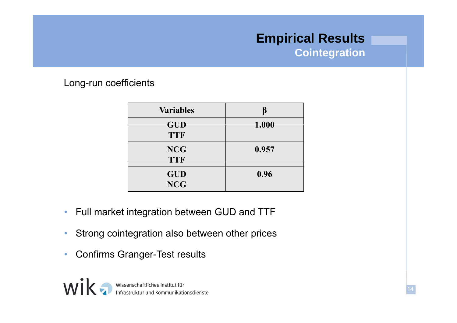## **Empirical Results**

**Cointegration**

Long-run coefficients

| <b>Variables</b>         |       |
|--------------------------|-------|
| <b>GUD</b><br><b>TTF</b> | 1.000 |
| <b>NCG</b><br><b>TTF</b> | 0.957 |
| <b>GUD</b><br><b>NCG</b> | 0.96  |

- •Full market integration between GUD and TTF
- •Strong cointegration also between other prices
- $\bullet$ Confirms Granger-Test results

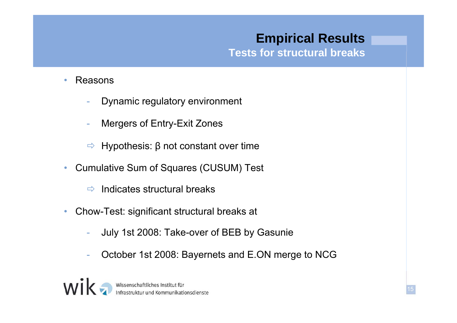## **Empirical Results**

**Tests for structural breaks structural**

- • Reasons
	- -Dynamic regulatory environment
	- -Mergers of Entry-Exit Zones
	- $\Rightarrow$  Hypothesis: β not constant over time
- • Cumulative Sum of Squares (CUSUM) Test
	- $\Rightarrow$ Indicates structural breaks
- • Chow-Test: significant structural breaks at
	- -July 1st 2008: Take-over of BEB by Gasunie
	- October 1st 2008: Bayernets and E.ON merge to NCG

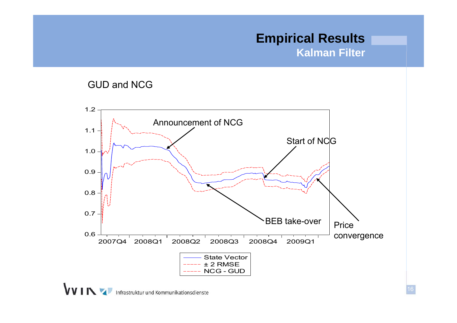#### **Empirical Results Kalman Filter**





**VVINY** Infrastruktur und Kommunikationsdienste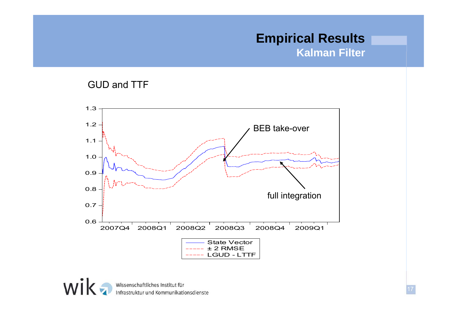#### **Empirical Results Kalman Filter**

#### GUD and TTF



wik Wissenschaftliches Institut für<br>Infrastruktur und Kommunikationsdienste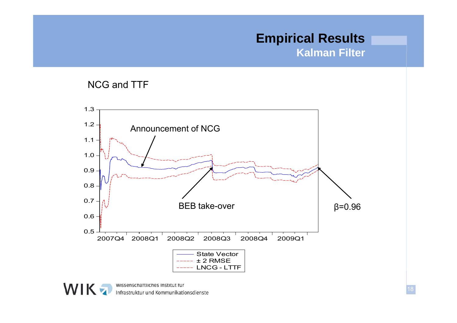## **Empirical Results**

**Kalman Filter**

#### NCG and TTF





wissenschattliches institut für<br>Infrastruktur und Kommunikationsdienste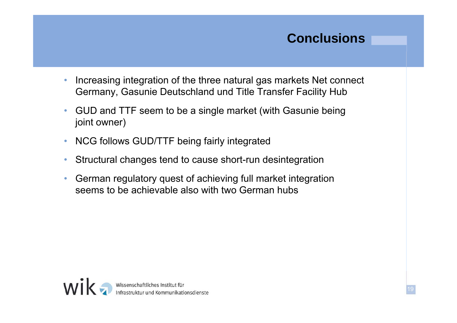### **Conclusions**

- • Increasing integration of the three natural gas markets Net connect Germany, Gasunie Deutschland und Title Transfer Facility Hub
- • GUD and TTF seem to be a single market (with Gasunie being joint owner)
- •NCG follows GUD/TTF being fairly integrated
- •Structural changes tend to cause short-run desintegration
- • German regulatory quest of achieving full market integration seems to be achievable also with two German hubs